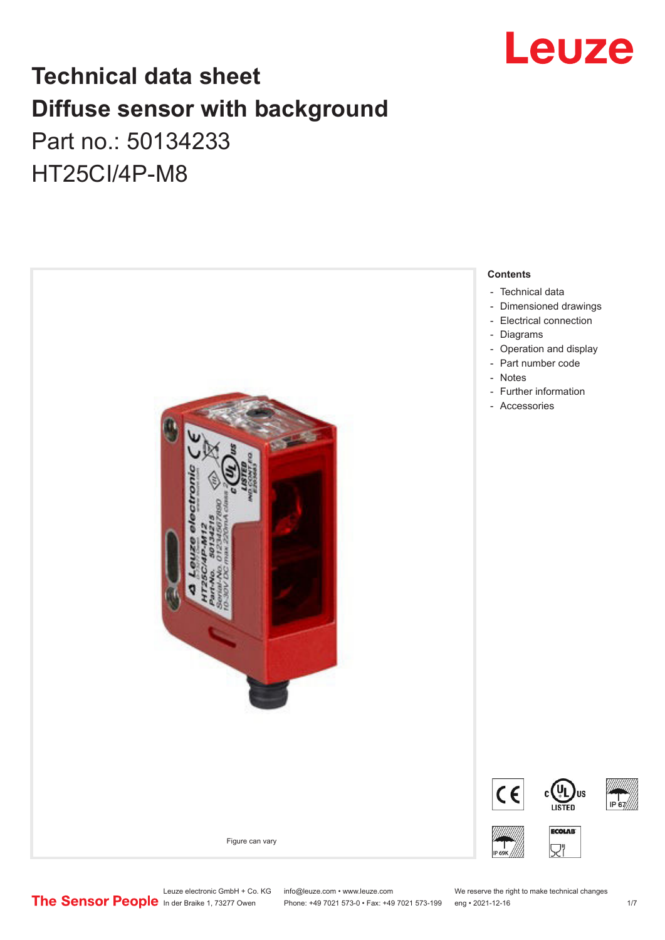

## **Technical data sheet Diffuse sensor with background**  Part no.: 50134233

HT25CI/4P-M8



Leuze electronic GmbH + Co. KG info@leuze.com • www.leuze.com We reserve the right to make technical changes<br>
The Sensor People in der Braike 1, 73277 Owen Phone: +49 7021 573-0 • Fax: +49 7021 573-199 eng • 2021-12-16

Phone: +49 7021 573-0 • Fax: +49 7021 573-199 eng • 2021-12-16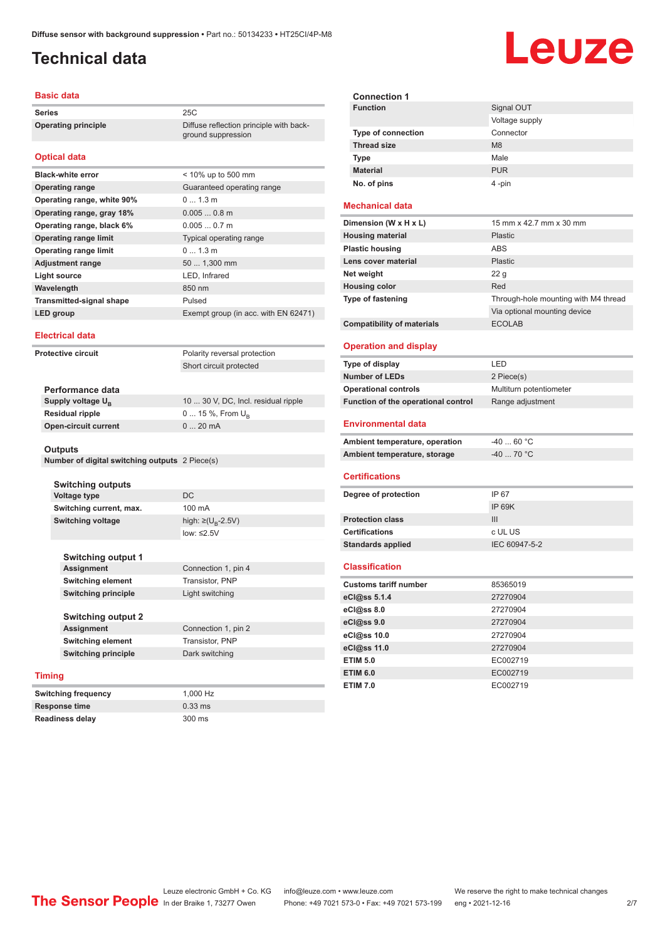ground suppression

### <span id="page-1-0"></span>**Technical data**

### **Basic data**

**Series** 25C **Operating principle** Diffuse reflection principle with back-

### **Optical data**

| <b>Black-white error</b>        | $<$ 10% up to 500 mm                 |
|---------------------------------|--------------------------------------|
| <b>Operating range</b>          | Guaranteed operating range           |
| Operating range, white 90%      | $0 \t13m$                            |
| Operating range, gray 18%       | $0.0050.8$ m                         |
| Operating range, black 6%       | $0.0050.7$ m                         |
| <b>Operating range limit</b>    | <b>Typical operating range</b>       |
| <b>Operating range limit</b>    | $01.3$ m                             |
| <b>Adjustment range</b>         | 50  1,300 mm                         |
| Light source                    | LED, Infrared                        |
| Wavelength                      | 850 nm                               |
| <b>Transmitted-signal shape</b> | Pulsed                               |
| LED group                       | Exempt group (in acc. with EN 62471) |

#### **Electrical data**

**Protective circuit** Polarity reversal protection Short circuit protected

| Performance data              |                                     |
|-------------------------------|-------------------------------------|
| Supply voltage U <sub>p</sub> | 10  30 V, DC, Incl. residual ripple |
| <b>Residual ripple</b>        | $0 15 \%$ , From $U_{p}$            |
| <b>Open-circuit current</b>   | $020$ mA                            |

#### **Outputs**

**Number of digital switching outputs** 2 Piece(s)

| <b>Switching outputs</b> |                            |                                    |
|--------------------------|----------------------------|------------------------------------|
|                          | <b>Voltage type</b>        | DC.                                |
|                          | Switching current, max.    | 100 mA                             |
|                          | <b>Switching voltage</b>   | high: $\geq (U_{\text{B}} - 2.5V)$ |
|                          |                            | low: $\leq 2.5V$                   |
|                          |                            |                                    |
|                          | <b>Switching output 1</b>  |                                    |
|                          | Assignment                 | Connection 1, pin 4                |
|                          | <b>Switching element</b>   | Transistor, PNP                    |
|                          | <b>Switching principle</b> | Light switching                    |
|                          |                            |                                    |
|                          | <b>Switching output 2</b>  |                                    |
|                          | Assignment                 | Connection 1, pin 2                |
|                          | <b>Switching element</b>   | Transistor, PNP                    |
|                          | <b>Switching principle</b> | Dark switching                     |
|                          |                            |                                    |
| Timing                   |                            |                                    |
|                          | Switching frequency        | 1,000 Hz                           |

### **Timing**

**Response time** 0.33 ms **Readiness delay** 300 ms

| <b>Connection 1</b>       |                |
|---------------------------|----------------|
| <b>Function</b>           | Signal OUT     |
|                           | Voltage supply |
| <b>Type of connection</b> | Connector      |
| <b>Thread size</b>        | M8             |
| <b>Type</b>               | Male           |
| <b>Material</b>           | <b>PUR</b>     |
| No. of pins               | 4-pin          |

### **Mechanical data**

| Dimension (W x H x L)             | 15 mm x 42.7 mm x 30 mm              |
|-----------------------------------|--------------------------------------|
| <b>Housing material</b>           | <b>Plastic</b>                       |
| <b>Plastic housing</b>            | <b>ABS</b>                           |
| Lens cover material               | <b>Plastic</b>                       |
| Net weight                        | 22q                                  |
| <b>Housing color</b>              | Red                                  |
| <b>Type of fastening</b>          | Through-hole mounting with M4 thread |
|                                   | Via optional mounting device         |
| <b>Compatibility of materials</b> | <b>ECOLAB</b>                        |

### **Operation and display**

| Type of display                     | I FD                    |
|-------------------------------------|-------------------------|
| <b>Number of LEDs</b>               | 2 Piece(s)              |
| <b>Operational controls</b>         | Multiturn potentiometer |
| Function of the operational control | Range adjustment        |

#### **Environmental data**

| Ambient temperature, operation | -40  60 °C |
|--------------------------------|------------|
| Ambient temperature, storage   | -40  70 °C |

#### **Certifications**

| Degree of protection     | IP 67         |
|--------------------------|---------------|
|                          | IP 69K        |
| <b>Protection class</b>  | Ш             |
| <b>Certifications</b>    | c UL US       |
| <b>Standards applied</b> | IEC 60947-5-2 |
|                          |               |

### **Classification**

| <b>Customs tariff number</b> | 85365019 |
|------------------------------|----------|
| eCl@ss 5.1.4                 | 27270904 |
| eCl@ss 8.0                   | 27270904 |
| eCl@ss 9.0                   | 27270904 |
| eCl@ss 10.0                  | 27270904 |
| eCl@ss 11.0                  | 27270904 |
| <b>ETIM 5.0</b>              | EC002719 |
| <b>ETIM 6.0</b>              | EC002719 |
| <b>ETIM 7.0</b>              | EC002719 |

## Leuze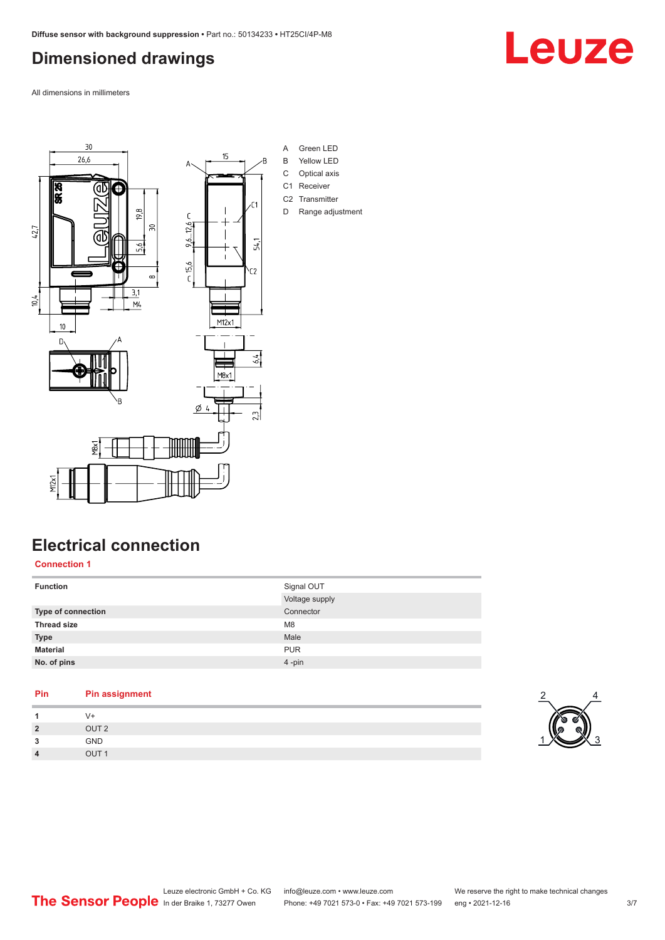### <span id="page-2-0"></span>**Dimensioned drawings**

All dimensions in millimeters



## **Electrical connection**

**Connection 1**

| <b>Function</b>    | Signal OUT     |
|--------------------|----------------|
|                    | Voltage supply |
| Type of connection | Connector      |
| <b>Thread size</b> | M <sub>8</sub> |
| <b>Type</b>        | Male           |
| <b>Material</b>    | <b>PUR</b>     |
| No. of pins        | 4-pin          |
|                    |                |

### **Pin Pin assignment**

| и              | V+               |
|----------------|------------------|
| $\overline{2}$ | OUT <sub>2</sub> |
| 3              | GND              |
| $\overline{4}$ | OUT <sub>1</sub> |



Leuze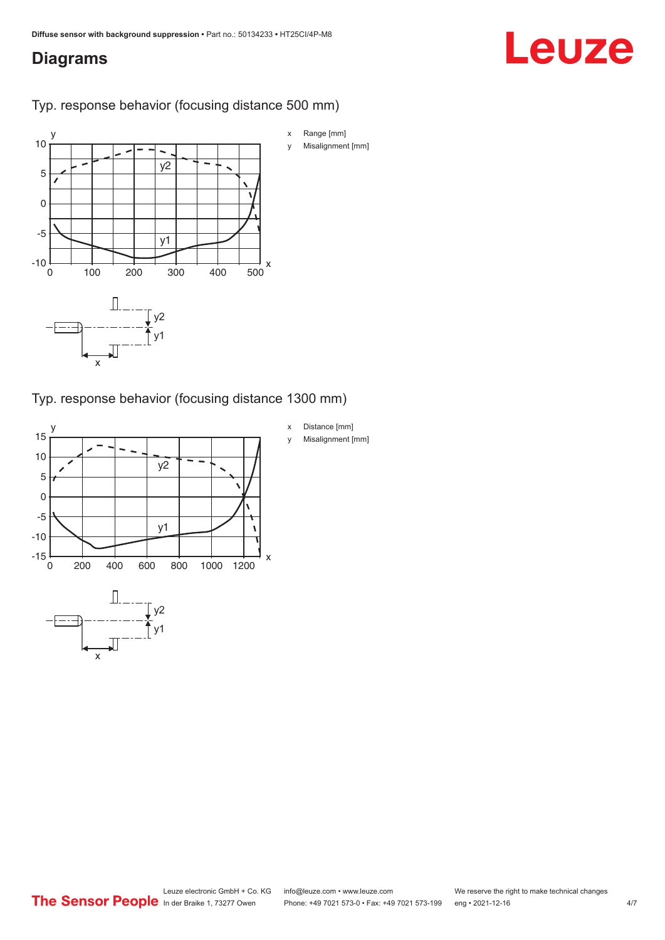### <span id="page-3-0"></span>**Diagrams**

# Leuze

Typ. response behavior (focusing distance 500 mm)



Typ. response behavior (focusing distance 1300 mm)

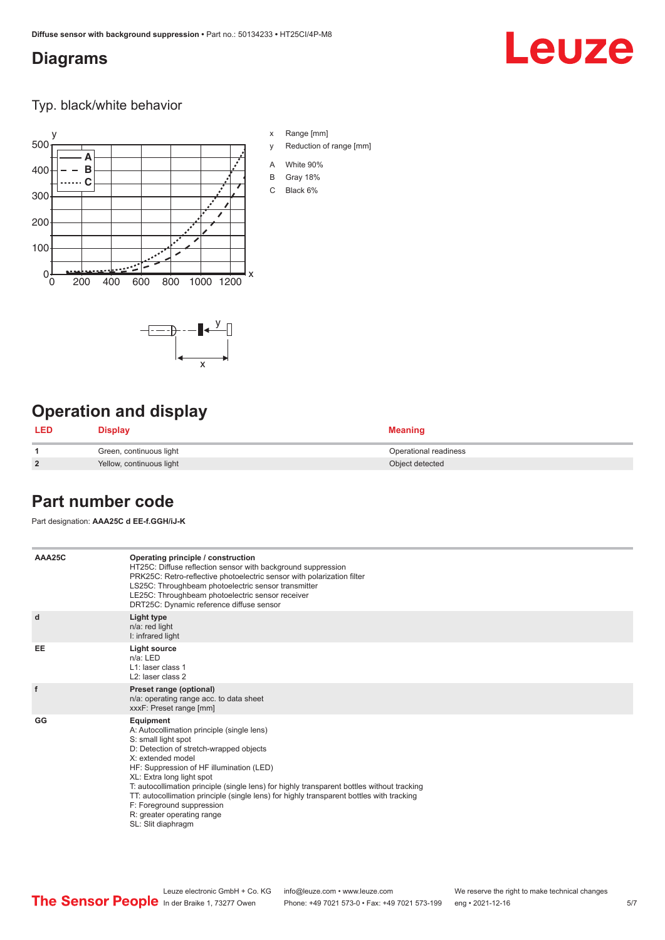### <span id="page-4-0"></span>**Diagrams**

## Leuze

Typ. black/white behavior





## **Operation and display**

| <b>LED</b>     | <b>Display</b>           | <b>Meaning</b>        |
|----------------|--------------------------|-----------------------|
|                | Green, continuous light  | Operational readiness |
| $\overline{2}$ | Yellow, continuous light | Object detected       |

### **Part number code**

Part designation: **AAA25C d EE-f.GGH/iJ-K**

| AAA25C | Operating principle / construction<br>HT25C: Diffuse reflection sensor with background suppression<br>PRK25C: Retro-reflective photoelectric sensor with polarization filter<br>LS25C: Throughbeam photoelectric sensor transmitter<br>LE25C: Throughbeam photoelectric sensor receiver<br>DRT25C: Dynamic reference diffuse sensor                                                                                                                                                                |
|--------|----------------------------------------------------------------------------------------------------------------------------------------------------------------------------------------------------------------------------------------------------------------------------------------------------------------------------------------------------------------------------------------------------------------------------------------------------------------------------------------------------|
| d      | Light type<br>n/a: red light<br>I: infrared light                                                                                                                                                                                                                                                                                                                                                                                                                                                  |
| EE     | Light source<br>$n/a$ : LED<br>L1: laser class 1<br>L <sub>2</sub> : laser class 2                                                                                                                                                                                                                                                                                                                                                                                                                 |
| f      | Preset range (optional)<br>n/a: operating range acc. to data sheet<br>xxxF: Preset range [mm]                                                                                                                                                                                                                                                                                                                                                                                                      |
| GG     | Equipment<br>A: Autocollimation principle (single lens)<br>S: small light spot<br>D: Detection of stretch-wrapped objects<br>X: extended model<br>HF: Suppression of HF illumination (LED)<br>XL: Extra long light spot<br>T: autocollimation principle (single lens) for highly transparent bottles without tracking<br>TT: autocollimation principle (single lens) for highly transparent bottles with tracking<br>F: Foreground suppression<br>R: greater operating range<br>SL: Slit diaphragm |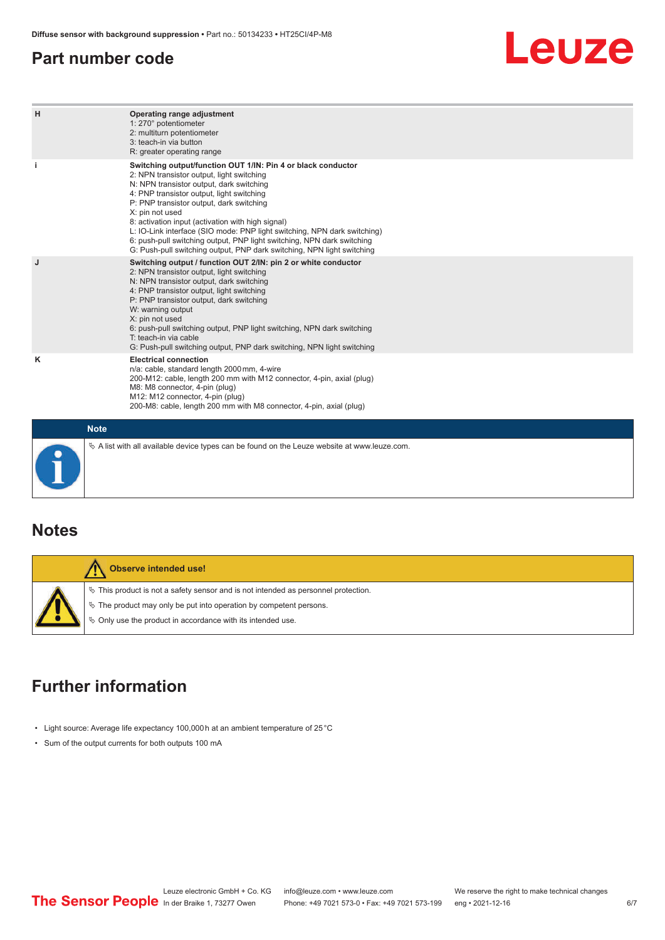### <span id="page-5-0"></span>**Part number code**

## Leuze

| H | Operating range adjustment<br>1: 270° potentiometer<br>2: multiturn potentiometer<br>3: teach-in via button<br>R: greater operating range                                                                                                                                                                                                                                                                                                                                                                                                              |  |  |  |  |
|---|--------------------------------------------------------------------------------------------------------------------------------------------------------------------------------------------------------------------------------------------------------------------------------------------------------------------------------------------------------------------------------------------------------------------------------------------------------------------------------------------------------------------------------------------------------|--|--|--|--|
|   | Switching output/function OUT 1/IN: Pin 4 or black conductor<br>2: NPN transistor output, light switching<br>N: NPN transistor output, dark switching<br>4: PNP transistor output, light switching<br>P: PNP transistor output, dark switching<br>X: pin not used<br>8: activation input (activation with high signal)<br>L: IO-Link interface (SIO mode: PNP light switching, NPN dark switching)<br>6: push-pull switching output, PNP light switching, NPN dark switching<br>G: Push-pull switching output, PNP dark switching, NPN light switching |  |  |  |  |
| J | Switching output / function OUT 2/IN: pin 2 or white conductor<br>2: NPN transistor output, light switching<br>N: NPN transistor output, dark switching<br>4: PNP transistor output, light switching<br>P: PNP transistor output, dark switching<br>W: warning output<br>X: pin not used<br>6: push-pull switching output, PNP light switching, NPN dark switching<br>T: teach-in via cable<br>G: Push-pull switching output, PNP dark switching, NPN light switching                                                                                  |  |  |  |  |
| ĸ | <b>Electrical connection</b><br>n/a: cable, standard length 2000 mm, 4-wire<br>200-M12: cable, length 200 mm with M12 connector, 4-pin, axial (plug)<br>M8: M8 connector, 4-pin (plug)<br>M12: M12 connector, 4-pin (plug)<br>200-M8: cable, length 200 mm with M8 connector, 4-pin, axial (plug)                                                                                                                                                                                                                                                      |  |  |  |  |
|   | <b>Note</b>                                                                                                                                                                                                                                                                                                                                                                                                                                                                                                                                            |  |  |  |  |
|   | $\&$ A list with all available device types can be found on the Leuze website at www.leuze.com.                                                                                                                                                                                                                                                                                                                                                                                                                                                        |  |  |  |  |

### **Notes**

| Observe intended use!                                                                                                                                                                                                                  |
|----------------------------------------------------------------------------------------------------------------------------------------------------------------------------------------------------------------------------------------|
| $\%$ This product is not a safety sensor and is not intended as personnel protection.<br>$\&$ The product may only be put into operation by competent persons.<br>$\Diamond$ Only use the product in accordance with its intended use. |

## **Further information**

- Light source: Average life expectancy 100,000 h at an ambient temperature of 25 °C
- Sum of the output currents for both outputs 100 mA